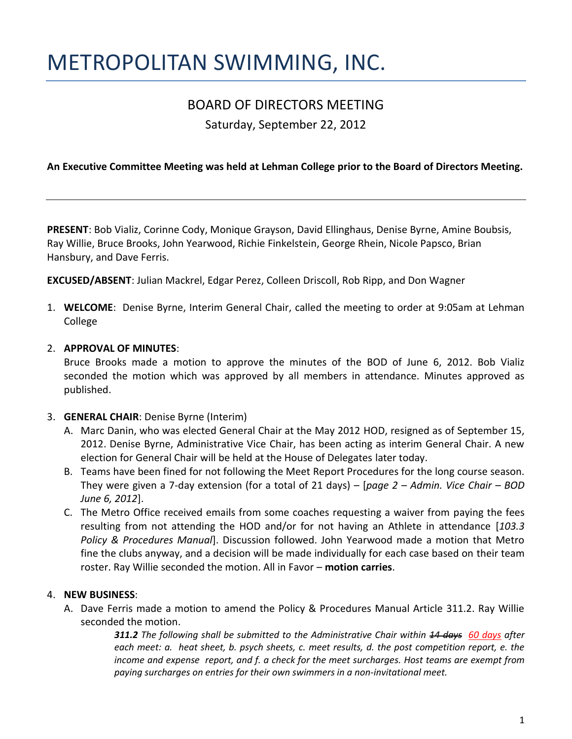# METROPOLITAN SWIMMING, INC.

# BOARD OF DIRECTORS MEETING

Saturday, September 22, 2012

### **An Executive Committee Meeting was held at Lehman College prior to the Board of Directors Meeting.**

**PRESENT**: Bob Vializ, Corinne Cody, Monique Grayson, David Ellinghaus, Denise Byrne, Amine Boubsis, Ray Willie, Bruce Brooks, John Yearwood, Richie Finkelstein, George Rhein, Nicole Papsco, Brian Hansbury, and Dave Ferris.

**EXCUSED/ABSENT**: Julian Mackrel, Edgar Perez, Colleen Driscoll, Rob Ripp, and Don Wagner

1. **WELCOME**: Denise Byrne, Interim General Chair, called the meeting to order at 9:05am at Lehman College

#### 2. **APPROVAL OF MINUTES**:

Bruce Brooks made a motion to approve the minutes of the BOD of June 6, 2012. Bob Vializ seconded the motion which was approved by all members in attendance. Minutes approved as published.

#### 3. **GENERAL CHAIR**: Denise Byrne (Interim)

- A. Marc Danin, who was elected General Chair at the May 2012 HOD, resigned as of September 15, 2012. Denise Byrne, Administrative Vice Chair, has been acting as interim General Chair. A new election for General Chair will be held at the House of Delegates later today.
- B. Teams have been fined for not following the Meet Report Procedures for the long course season. They were given a 7-day extension (for a total of 21 days) – [*page 2 – Admin. Vice Chair – BOD June 6, 2012*].
- C. The Metro Office received emails from some coaches requesting a waiver from paying the fees resulting from not attending the HOD and/or for not having an Athlete in attendance [*103.3 Policy & Procedures Manual*]. Discussion followed. John Yearwood made a motion that Metro fine the clubs anyway, and a decision will be made individually for each case based on their team roster. Ray Willie seconded the motion. All in Favor – **motion carries**.

#### 4. **NEW BUSINESS**:

A. Dave Ferris made a motion to amend the Policy & Procedures Manual Article 311.2. Ray Willie seconded the motion.

> *311.2 The following shall be submitted to the Administrative Chair within 14 days 60 days after each meet: a. heat sheet, b. psych sheets, c. meet results, d. the post competition report, e. the income and expense report, and f. a check for the meet surcharges. Host teams are exempt from paying surcharges on entries for their own swimmers in a non-invitational meet.*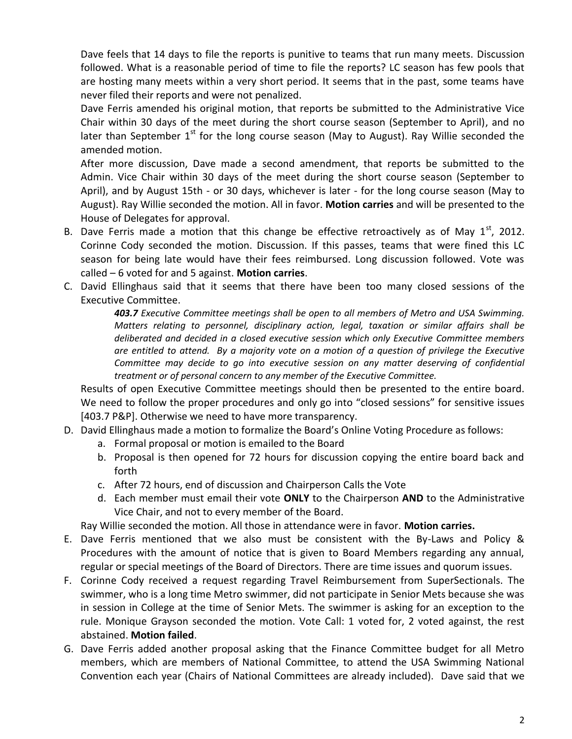Dave feels that 14 days to file the reports is punitive to teams that run many meets. Discussion followed. What is a reasonable period of time to file the reports? LC season has few pools that are hosting many meets within a very short period. It seems that in the past, some teams have never filed their reports and were not penalized.

Dave Ferris amended his original motion, that reports be submitted to the Administrative Vice Chair within 30 days of the meet during the short course season (September to April), and no later than September  $1<sup>st</sup>$  for the long course season (May to August). Ray Willie seconded the amended motion.

After more discussion, Dave made a second amendment, that reports be submitted to the Admin. Vice Chair within 30 days of the meet during the short course season (September to April), and by August 15th - or 30 days, whichever is later - for the long course season (May to August). Ray Willie seconded the motion. All in favor. **Motion carries** and will be presented to the House of Delegates for approval.

- B. Dave Ferris made a motion that this change be effective retroactively as of May  $1^{st}$ , 2012. Corinne Cody seconded the motion. Discussion. If this passes, teams that were fined this LC season for being late would have their fees reimbursed. Long discussion followed. Vote was called – 6 voted for and 5 against. **Motion carries**.
- C. David Ellinghaus said that it seems that there have been too many closed sessions of the Executive Committee.

*403.7 Executive Committee meetings shall be open to all members of Metro and USA Swimming. Matters relating to personnel, disciplinary action, legal, taxation or similar affairs shall be deliberated and decided in a closed executive session which only Executive Committee members are entitled to attend. By a majority vote on a motion of a question of privilege the Executive Committee may decide to go into executive session on any matter deserving of confidential treatment or of personal concern to any member of the Executive Committee.*

Results of open Executive Committee meetings should then be presented to the entire board. We need to follow the proper procedures and only go into "closed sessions" for sensitive issues [403.7 P&P]. Otherwise we need to have more transparency.

- D. David Ellinghaus made a motion to formalize the Board's Online Voting Procedure as follows:
	- a. Formal proposal or motion is emailed to the Board
	- b. Proposal is then opened for 72 hours for discussion copying the entire board back and forth
	- c. After 72 hours, end of discussion and Chairperson Calls the Vote
	- d. Each member must email their vote **ONLY** to the Chairperson **AND** to the Administrative Vice Chair, and not to every member of the Board.

Ray Willie seconded the motion. All those in attendance were in favor. **Motion carries.** 

- E. Dave Ferris mentioned that we also must be consistent with the By-Laws and Policy & Procedures with the amount of notice that is given to Board Members regarding any annual, regular or special meetings of the Board of Directors. There are time issues and quorum issues.
- F. Corinne Cody received a request regarding Travel Reimbursement from SuperSectionals. The swimmer, who is a long time Metro swimmer, did not participate in Senior Mets because she was in session in College at the time of Senior Mets. The swimmer is asking for an exception to the rule. Monique Grayson seconded the motion. Vote Call: 1 voted for, 2 voted against, the rest abstained. **Motion failed**.
- G. Dave Ferris added another proposal asking that the Finance Committee budget for all Metro members, which are members of National Committee, to attend the USA Swimming National Convention each year (Chairs of National Committees are already included). Dave said that we